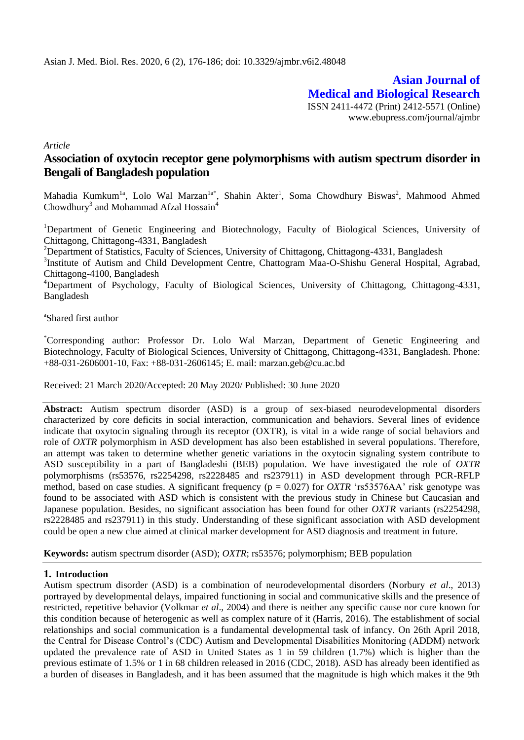**Asian Journal of Medical and Biological Research** ISSN 2411-4472 (Print) 2412-5571 (Online) www.ebupress.com/journal/ajmbr

*Article*

# **Association of oxytocin receptor gene polymorphisms with autism spectrum disorder in Bengali of Bangladesh population**

Mahadia Kumkum<sup>1a</sup>, Lolo Wal Marzan<sup>1a\*</sup>, Shahin Akter<sup>1</sup>, Soma Chowdhury Biswas<sup>2</sup>, Mahmood Ahmed Chowdhury<sup>3</sup> and Mohammad Afzal Hossain<sup>4</sup>

<sup>1</sup>Department of Genetic Engineering and Biotechnology, Faculty of Biological Sciences, University of Chittagong, Chittagong-4331, Bangladesh

<sup>2</sup>Department of Statistics, Faculty of Sciences, University of Chittagong, Chittagong-4331, Bangladesh

<sup>3</sup>Institute of Autism and Child Development Centre, Chattogram Maa-O-Shishu General Hospital, Agrabad, Chittagong-4100, Bangladesh

<sup>4</sup>Department of Psychology, Faculty of Biological Sciences, University of Chittagong, Chittagong-4331, Bangladesh

a Shared first author

\*Corresponding author: Professor Dr. Lolo Wal Marzan, Department of Genetic Engineering and Biotechnology, Faculty of Biological Sciences, University of Chittagong, Chittagong-4331, Bangladesh. Phone: +88-031-2606001-10, Fax: +88-031-2606145; E. mail: marzan.geb@cu.ac.bd

Received: 21 March 2020/Accepted: 20 May 2020/ Published: 30 June 2020

**Abstract:** Autism spectrum disorder (ASD) is a group of sex-biased neurodevelopmental disorders characterized by core deficits in social interaction, communication and behaviors. Several lines of evidence indicate that oxytocin signaling through its receptor (OXTR), is vital in a wide range of social behaviors and role of *OXTR* polymorphism in ASD development has also been established in several populations. Therefore, an attempt was taken to determine whether genetic variations in the oxytocin signaling system contribute to ASD susceptibility in a part of Bangladeshi (BEB) population. We have investigated the role of *OXTR*  polymorphisms (rs53576, rs2254298, rs2228485 and rs237911) in ASD development through PCR-RFLP method, based on case studies. A significant frequency (p = 0.027) for *OXTR* 'rs53576AA' risk genotype was found to be associated with ASD which is consistent with the previous study in Chinese but Caucasian and Japanese population. Besides, no significant association has been found for other *OXTR* variants (rs2254298, rs2228485 and rs237911) in this study. Understanding of these significant association with ASD development could be open a new clue aimed at clinical marker development for ASD diagnosis and treatment in future.

**Keywords:** autism spectrum disorder (ASD); *OXTR*; rs53576; polymorphism; BEB population

#### **1. Introduction**

Autism spectrum disorder (ASD) is a combination of neurodevelopmental disorders (Norbury *et al*., 2013) portrayed by developmental delays, impaired functioning in social and communicative skills and the presence of restricted, repetitive behavior (Volkmar *et al*., 2004) and there is neither any specific cause nor cure known for this condition because of heterogenic as well as complex nature of it (Harris, 2016). The establishment of social relationships and social communication is a fundamental developmental task of infancy. On 26th April 2018, the Central for Disease Control's (CDC) Autism and Developmental Disabilities Monitoring (ADDM) network updated the prevalence rate of ASD in United States as 1 in 59 children (1.7%) which is higher than the previous estimate of 1.5% or 1 in 68 children released in 2016 (CDC, 2018). ASD has already been identified as a burden of diseases in Bangladesh, and it has been assumed that the magnitude is high which makes it the 9th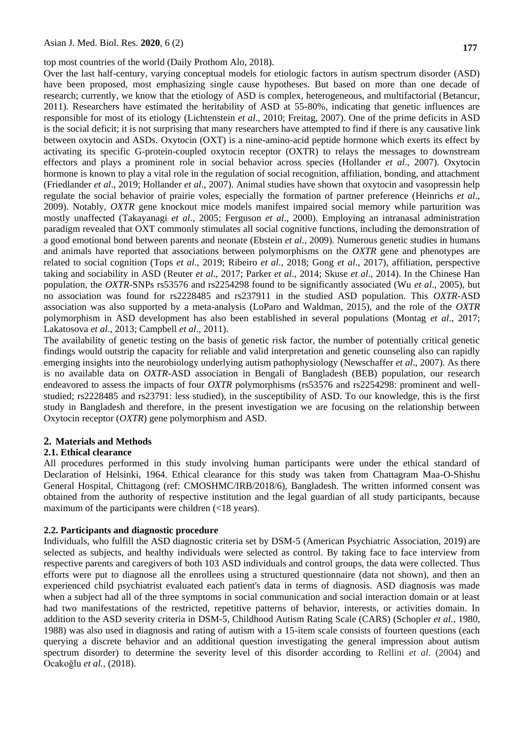top most countries of the world (Daily Prothom Alo, 2018).

Over the last half-century, varying conceptual models for etiologic factors in autism spectrum disorder (ASD) have been proposed, most emphasizing single cause hypotheses. But based on more than one decade of research; currently, we know that the etiology of ASD is complex, heterogeneous, and multifactorial (Betancur, 2011). Researchers have estimated the heritability of ASD at 55-80%, indicating that genetic influences are responsible for most of its etiology (Lichtenstein *et al*., 2010; Freitag, 2007). One of the prime deficits in ASD is the social deficit; it is not surprising that many researchers have attempted to find if there is any causative link between oxytocin and ASDs. Oxytocin (OXT) is a nine-amino-acid peptide hormone which exerts its effect by activating its specific G-protein-coupled oxytocin receptor (OXTR) to relays the messages to downstream effectors and plays a prominent role in social behavior across species (Hollander *et al*., 2007). Oxytocin hormone is known to play a vital role in the regulation of social recognition, affiliation, bonding, and attachment (Friedlander *et al*., 2019; Hollander *et al*., 2007). Animal studies have shown that oxytocin and vasopressin help regulate the social behavior of prairie voles, especially the formation of partner preference (Heinrichs *et al*., 2009). Notably, *OXTR* gene knockout mice models manifest impaired social memory while parturition was mostly unaffected (Takayanagi *et al*., 2005; Ferguson *et al*., 2000). Employing an intranasal administration paradigm revealed that OXT commonly stimulates all social cognitive functions, including the demonstration of a good emotional bond between parents and neonate (Ebstein *et al*., 2009). Numerous genetic studies in humans and animals have reported that associations between polymorphisms on the *OXTR* gene and phenotypes are related to social cognition (Tops *et al*., 2019; Ribeiro *et al*., 2018; Gong *et al*., 2017), affiliation, perspective taking and sociability in ASD (Reuter *et al*., 2017; Parker *et al*., 2014; Skuse *et al*., 2014). In the Chinese Han population, the *OXTR*-SNPs rs53576 and rs2254298 found to be significantly associated (Wu *et al*., 2005), but no association was found for rs2228485 and rs237911 in the studied ASD population. This *OXTR*-ASD association was also supported by a meta-analysis (LoParo and Waldman, 2015), and the role of the *OXTR* polymorphism in ASD development has also been established in several populations (Montag *et al*., 2017; Lakatosova *et al*., 2013; Campbell *et al*., 2011).

The availability of genetic testing on the basis of genetic risk factor, the number of potentially critical genetic findings would outstrip the capacity for reliable and valid interpretation and genetic counseling also can rapidly emerging insights into the neurobiology underlying autism pathophysiology (Newschaffer *et al*., 2007). As there is no available data on *OXTR*-ASD association in Bengali of Bangladesh (BEB) population, our research endeavored to assess the impacts of four *OXTR* polymorphisms (rs53576 and rs2254298: prominent and wellstudied; rs2228485 and rs23791: less studied), in the susceptibility of ASD. To our knowledge, this is the first study in Bangladesh and therefore, in the present investigation we are focusing on the relationship between Oxytocin receptor (*OXTR*) gene polymorphism and ASD.

## **2. Materials and Methods**

#### **2.1. Ethical clearance**

All procedures performed in this study involving human participants were under the ethical standard of Declaration of Helsinki, 1964. Ethical clearance for this study was taken from Chattagram Maa-O-Shishu General Hospital, Chittagong (ref: CMOSHMC/IRB/2018/6), Bangladesh. The written informed consent was obtained from the authority of respective institution and the legal guardian of all study participants, because maximum of the participants were children (<18 years).

## **2.2. Participants and diagnostic procedure**

Individuals, who fulfill the ASD diagnostic criteria set by DSM-5 (American Psychiatric Association, 2019) are selected as subjects, and healthy individuals were selected as control. By taking face to face interview from respective parents and caregivers of both 103 ASD individuals and control groups, the data were collected. Thus efforts were put to diagnose all the enrollees using a structured questionnaire (data not shown), and then an experienced child psychiatrist evaluated each patient's data in terms of diagnosis. ASD diagnosis was made when a subject had all of the three symptoms in social communication and social interaction domain or at least had two manifestations of the restricted, repetitive patterns of behavior, interests, or activities domain. In addition to the ASD severity criteria in DSM-5, Childhood Autism Rating Scale (CARS) (Schopler *et al*., 1980, 1988) was also used in diagnosis and rating of autism with a 15-item scale consists of fourteen questions (each querying a discrete behavior and an additional question investigating the general impression about autism spectrum disorder) to determine the severity level of this disorder according to Rellini *et al*. (2004) and Ocakoğlu *et al.*, (2018).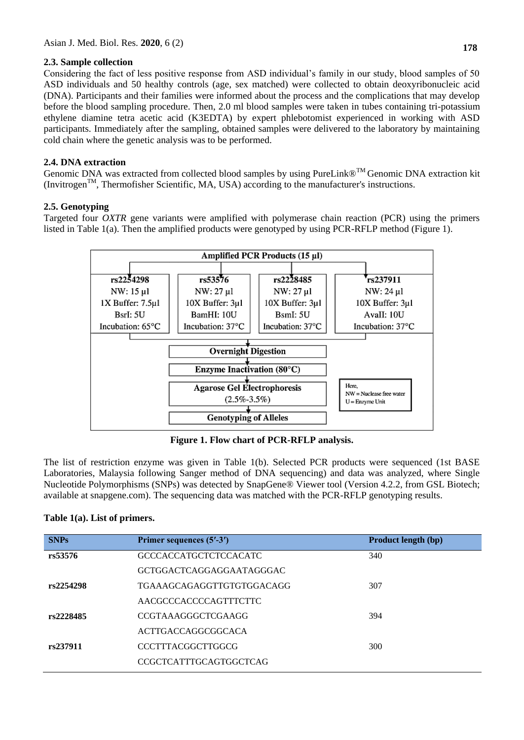## **2.3. Sample collection**

Considering the fact of less positive response from ASD individual's family in our study, blood samples of 50 ASD individuals and 50 healthy controls (age, sex matched) were collected to obtain deoxyribonucleic acid (DNA). Participants and their families were informed about the process and the complications that may develop before the blood sampling procedure. Then, 2.0 ml blood samples were taken in tubes containing tri-potassium ethylene diamine tetra acetic acid (K3EDTA) by expert phlebotomist experienced in working with ASD participants. Immediately after the sampling, obtained samples were delivered to the laboratory by maintaining cold chain where the genetic analysis was to be performed.

## **2.4. DNA extraction**

Genomic DNA was extracted from collected blood samples by using PureLink®<sup>™</sup> Genomic DNA extraction kit  $(Invitrogen<sup>TM</sup>, Thermofisher Scientific, MA, USA) according to the manufacturer's instructions.$ 

## **2.5. Genotyping**

Targeted four *OXTR* gene variants were amplified with polymerase chain reaction (PCR) using the primers listed in Table 1(a). Then the amplified products were genotyped by using PCR-RFLP method (Figure 1).



**Figure 1. Flow chart of PCR-RFLP analysis.**

The list of restriction enzyme was given in Table 1(b). Selected PCR products were sequenced (1st BASE Laboratories, Malaysia following Sanger method of DNA sequencing) and data was analyzed, where Single Nucleotide Polymorphisms (SNPs) was detected by SnapGene® Viewer tool (Version 4.2.2, from GSL Biotech; available at snapgene.com). The sequencing data was matched with the PCR-RFLP genotyping results.

## **Table 1(a). List of primers.**

| Primer sequences (5'-3')      | Product length (bp) |
|-------------------------------|---------------------|
| <b>GCCCACCATGCTCTCCACATC</b>  | 340                 |
| GCTGGACTCAGGAGGAATAGGGAC      |                     |
| TGAAAGCAGAGGTTGTGTGGACAGG     | 307                 |
| AACGCCCACCCCAGTTTCTTC         |                     |
| CCGTAAAGGGCTCGAAGG            | 394                 |
| ACTTGACCAGGCGGCACA            |                     |
| CCCTTTACGGCTTGGCG             | 300                 |
| <b>CCGCTCATTTGCAGTGGCTCAG</b> |                     |
|                               |                     |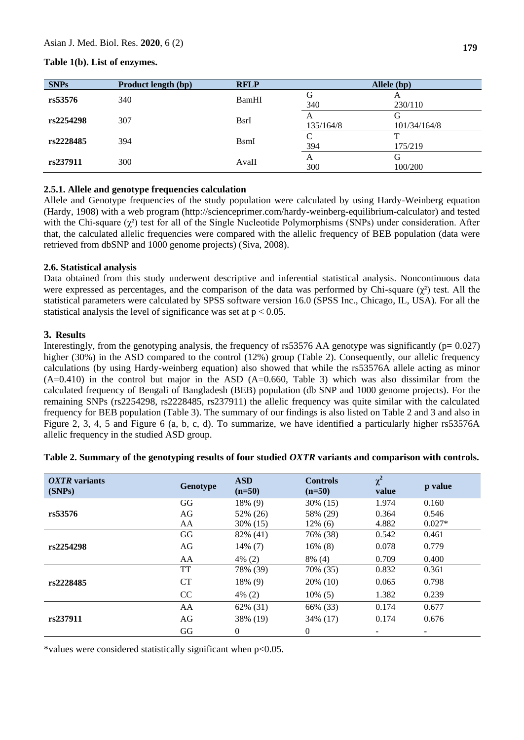## **Table 1(b). List of enzymes.**

| <b>SNPs</b> | <b>Product length (bp)</b> | <b>RFLP</b>  | Allele (bp)    |                   |  |
|-------------|----------------------------|--------------|----------------|-------------------|--|
| rs53576     | 340                        | BamHI        | G<br>340       | A<br>230/110      |  |
| rs2254298   | 307                        | <b>B</b> srI | A<br>135/164/8 | G<br>101/34/164/8 |  |
| rs2228485   | 394                        | <b>B</b> smI | C<br>394       | 175/219           |  |
| rs237911    | 300                        | AvaII        | A<br>300       | G<br>100/200      |  |

## **2.5.1. Allele and genotype frequencies calculation**

Allele and Genotype frequencies of the study population were calculated by using Hardy-Weinberg equation (Hardy, 1908) with a web program (http://scienceprimer.com/hardy-weinberg-equilibrium-calculator) and tested with the Chi-square  $(\chi^2)$  test for all of the Single Nucleotide Polymorphisms (SNPs) under consideration. After that, the calculated allelic frequencies were compared with the allelic frequency of BEB population (data were retrieved from dbSNP and 1000 genome projects) (Siva, 2008).

## **2.6. Statistical analysis**

Data obtained from this study underwent descriptive and inferential statistical analysis. Noncontinuous data were expressed as percentages, and the comparison of the data was performed by Chi-square  $(\chi^2)$  test. All the statistical parameters were calculated by SPSS software version 16.0 (SPSS Inc., Chicago, IL, USA). For all the statistical analysis the level of significance was set at  $p < 0.05$ .

## **3. Results**

Interestingly, from the genotyping analysis, the frequency of  $rs53576$  AA genotype was significantly ( $p= 0.027$ ) higher (30%) in the ASD compared to the control (12%) group (Table 2). Consequently, our allelic frequency calculations (by using Hardy-weinberg equation) also showed that while the rs53576A allele acting as minor  $(A=0.410)$  in the control but major in the ASD  $(A=0.660,$  Table 3) which was also dissimilar from the calculated frequency of Bengali of Bangladesh (BEB) population (db SNP and 1000 genome projects). For the remaining SNPs (rs2254298, rs2228485, rs237911) the allelic frequency was quite similar with the calculated frequency for BEB population (Table 3). The summary of our findings is also listed on Table 2 and 3 and also in Figure 2, 3, 4, 5 and Figure 6 (a, b, c, d). To summarize, we have identified a particularly higher rs53576A allelic frequency in the studied ASD group.

| <i>OXTR</i> variants<br>(SNPs) | Genotype  | <b>ASD</b><br>$(n=50)$ | <b>Controls</b><br>$(n=50)$ | $\chi^2$<br>value | p value  |
|--------------------------------|-----------|------------------------|-----------------------------|-------------------|----------|
|                                | GG        | 18% (9)                | 30% (15)                    | 1.974             | 0.160    |
| rs53576                        | AG        | 52% (26)               | 58% (29)                    | 0.364             | 0.546    |
|                                | AA        | 30\% (15)              | $12\%$ (6)                  | 4.882             | $0.027*$ |
|                                | GG        | 82% (41)               | 76% (38)                    | 0.542             | 0.461    |
| rs2254298                      | AG        | $14\%$ (7)             | $16\%$ (8)                  | 0.078             | 0.779    |
|                                | AA        | $4\%$ (2)              | $8\%$ (4)                   | 0.709             | 0.400    |
|                                | TT        | 78% (39)               | 70% (35)                    | 0.832             | 0.361    |
| rs2228485                      | <b>CT</b> | 18% (9)                | 20% (10)                    | 0.065             | 0.798    |
|                                | CC        | $4\%$ (2)              | $10\%$ (5)                  | 1.382             | 0.239    |
|                                | AA        | 62% (31)               | 66% (33)                    | 0.174             | 0.677    |
| rs237911                       | AG        | 38% (19)               | 34% (17)                    | 0.174             | 0.676    |
|                                | GG        | $\Omega$               | $\Omega$                    |                   |          |

## **Table 2. Summary of the genotyping results of four studied** *OXTR* **variants and comparison with controls.**

\*values were considered statistically significant when p<0.05.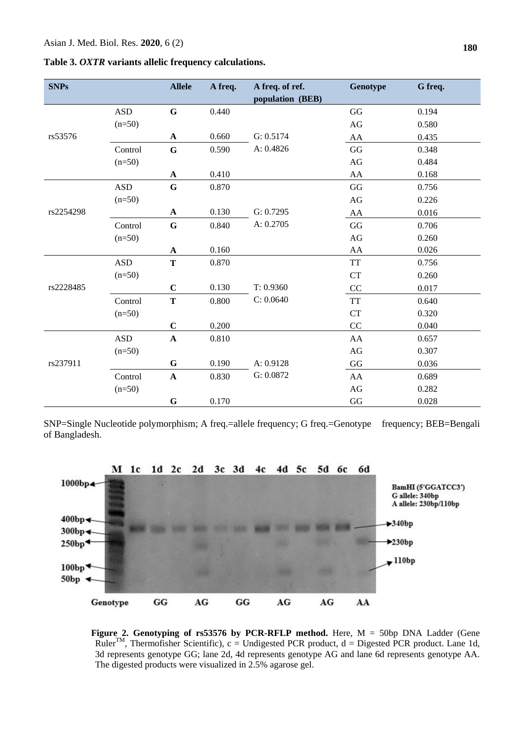| Table 3. OXTR variants allelic frequency calculations. |  |  |
|--------------------------------------------------------|--|--|
|--------------------------------------------------------|--|--|

| <b>SNPs</b> |            | <b>Allele</b> | A freq. | A freq. of ref.<br>population (BEB) | Genotype  | G freq. |
|-------------|------------|---------------|---------|-------------------------------------|-----------|---------|
|             | <b>ASD</b> | $\mathbf G$   | 0.440   |                                     | GG        | 0.194   |
|             | $(n=50)$   |               |         |                                     | AG        | 0.580   |
| rs53576     |            | $\mathbf A$   | 0.660   | G: 0.5174                           | AA        | 0.435   |
|             | Control    | $\mathbf G$   | 0.590   | A: 0.4826                           | GG        | 0.348   |
|             | $(n=50)$   |               |         |                                     | AG        | 0.484   |
|             |            | A             | 0.410   |                                     | AA        | 0.168   |
|             | <b>ASD</b> | ${\bf G}$     | 0.870   |                                     | GG        | 0.756   |
|             | $(n=50)$   |               |         |                                     | AG        | 0.226   |
| rs2254298   |            | A             | 0.130   | G: 0.7295                           | AA        | 0.016   |
|             | Control    | $\mathbf G$   | 0.840   | A: 0.2705                           | GG        | 0.706   |
|             | $(n=50)$   |               |         |                                     | AG        | 0.260   |
|             |            | ${\bf A}$     | 0.160   |                                     | AA        | 0.026   |
|             | <b>ASD</b> | $\mathbf T$   | 0.870   |                                     | <b>TT</b> | 0.756   |
|             | $(n=50)$   |               |         |                                     | <b>CT</b> | 0.260   |
| rs2228485   |            | $\mathbf C$   | 0.130   | T: 0.9360                           | CC        | 0.017   |
|             | Control    | $\mathbf T$   | 0.800   | C: 0.0640                           | <b>TT</b> | 0.640   |
|             | $(n=50)$   |               |         |                                     | <b>CT</b> | 0.320   |
|             |            | $\mathbf C$   | 0.200   |                                     | CC        | 0.040   |
| rs237911    | <b>ASD</b> | $\mathbf{A}$  | 0.810   |                                     | AA        | 0.657   |
|             | $(n=50)$   |               |         |                                     | AG        | 0.307   |
|             |            | $\mathbf G$   | 0.190   | A: 0.9128                           | GG        | 0.036   |
|             | Control    | $\mathbf A$   | 0.830   | G: 0.0872                           | AA        | 0.689   |
|             | $(n=50)$   |               |         |                                     | AG        | 0.282   |
|             |            | $\mathbf G$   | 0.170   |                                     | GG        | 0.028   |

SNP=Single Nucleotide polymorphism; A freq.=allele frequency; G freq.=Genotype frequency; BEB=Bengali of Bangladesh.



 **Figure 2. Genotyping of rs53576 by PCR-RFLP method.** Here, M = 50bp DNA Ladder (Gene  $Ruler^{TM}$ , Thermofisher Scientific), c = Undigested PCR product, d = Digested PCR product. Lane 1d, 3d represents genotype GG; lane 2d, 4d represents genotype AG and lane 6d represents genotype AA. The digested products were visualized in 2.5% agarose gel.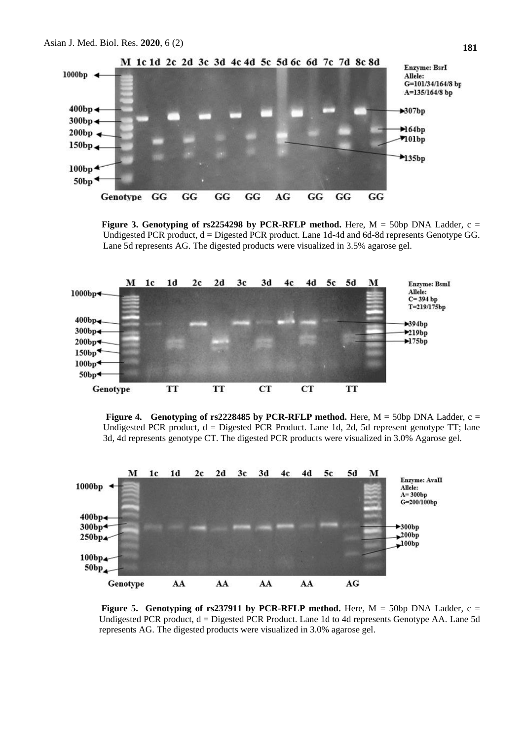

**Figure 3. Genotyping of rs2254298 by PCR-RFLP method.** Here,  $M = 50bp$  DNA Ladder, c = Undigested PCR product,  $d =$  Digested PCR product. Lane 1d-4d and 6d-8d represents Genotype GG. Lane 5d represents AG. The digested products were visualized in 3.5% agarose gel.







**Figure 5. Genotyping of rs237911 by PCR-RFLP method.** Here,  $M = 50$ bp DNA Ladder, c = Undigested PCR product, d = Digested PCR Product. Lane 1d to 4d represents Genotype AA. Lane 5d represents AG. The digested products were visualized in 3.0% agarose gel.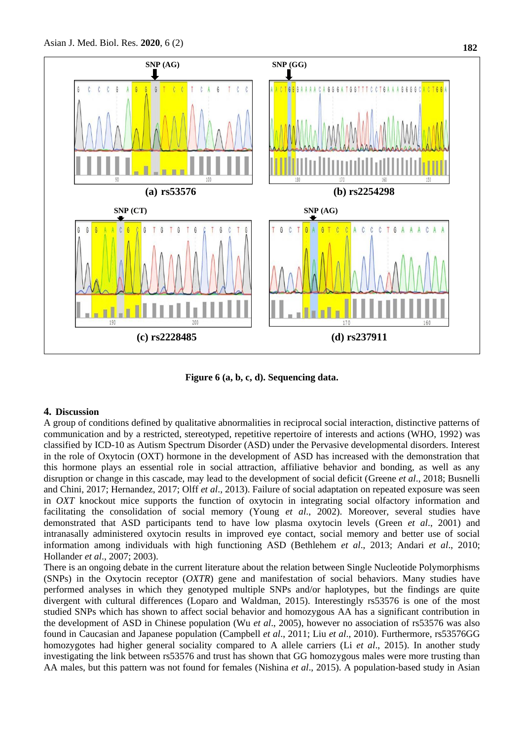

**Figure 6 (a, b, c, d). Sequencing data.**

#### **4. Discussion**

A group of conditions defined by qualitative abnormalities in reciprocal social interaction, distinctive patterns of communication and by a restricted, stereotyped, repetitive repertoire of interests and actions (WHO, 1992) was classified by ICD-10 as Autism Spectrum Disorder (ASD) under the Pervasive developmental disorders. Interest in the role of Oxytocin (OXT) hormone in the development of ASD has increased with the demonstration that this hormone plays an essential role in social attraction, affiliative behavior and bonding, as well as any disruption or change in this cascade, may lead to the development of social deficit (Greene *et al*., 2018; Busnelli and Chini, 2017; Hernandez, 2017; Olff *et al*., 2013). Failure of social adaptation on repeated exposure was seen in *OXT* knockout mice supports the function of oxytocin in integrating social olfactory information and facilitating the consolidation of social memory (Young *et al*., 2002). Moreover, several studies have demonstrated that ASD participants tend to have low plasma oxytocin levels (Green *et al*., 2001) and intranasally administered oxytocin results in improved eye contact, social memory and better use of social information among individuals with high functioning ASD (Bethlehem *et al*., 2013; Andari *et al*., 2010; Hollander *et al*., 2007; 2003).

There is an ongoing debate in the current literature about the relation between Single Nucleotide Polymorphisms (SNPs) in the Oxytocin receptor (*OXTR*) gene and manifestation of social behaviors. Many studies have performed analyses in which they genotyped multiple SNPs and/or haplotypes, but the findings are quite divergent with cultural differences (Loparo and Waldman, 2015). Interestingly rs53576 is one of the most studied SNPs which has shown to affect social behavior and homozygous AA has a significant contribution in the development of ASD in Chinese population (Wu *et al*., 2005), however no association of rs53576 was also found in Caucasian and Japanese population (Campbell *et al*., 2011; Liu *et al*., 2010). Furthermore, rs53576GG homozygotes had higher general sociality compared to A allele carriers (Li *et al*., 2015). In another study investigating the link between rs53576 and trust has shown that GG homozygous males were more trusting than AA males, but this pattern was not found for females (Nishina *et al*., 2015). A population-based study in Asian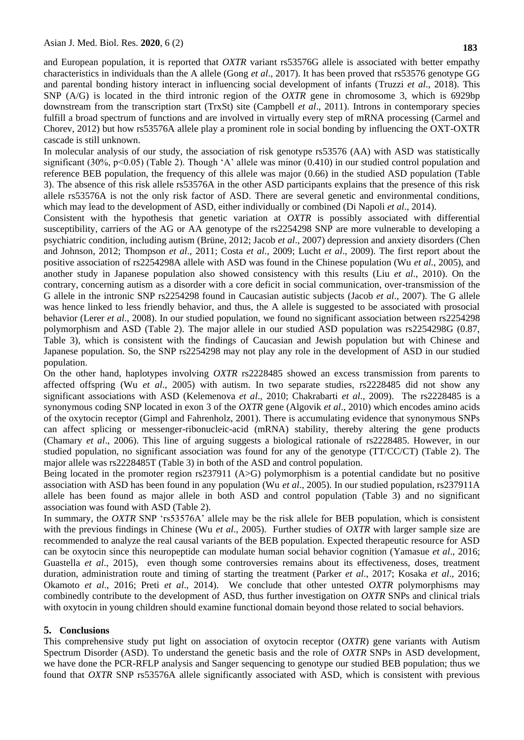and European population, it is reported that *OXTR* variant rs53576G allele is associated with better empathy characteristics in individuals than the A allele (Gong *et al*., 2017). It has been proved that rs53576 genotype GG and parental bonding history interact in influencing social development of infants (Truzzi *et al*., 2018). This SNP (A/G) is located in the third intronic region of the *OXTR* gene in chromosome 3, which is 6929bp downstream from the transcription start (TrxSt) site (Campbell *et al*., 2011). Introns in contemporary species fulfill a broad spectrum of functions and are involved in virtually every step of mRNA processing (Carmel and Chorev, 2012) but how rs53576A allele play a prominent role in social bonding by influencing the OXT-OXTR cascade is still unknown.

In molecular analysis of our study, the association of risk genotype rs53576 (AA) with ASD was statistically significant (30%, p<0.05) (Table 2). Though 'A' allele was minor (0.410) in our studied control population and reference BEB population, the frequency of this allele was major (0.66) in the studied ASD population (Table 3). The absence of this risk allele rs53576A in the other ASD participants explains that the presence of this risk allele rs53576A is not the only risk factor of ASD. There are several genetic and environmental conditions, which may lead to the development of ASD, either individually or combined (Di Napoli *et al*., 2014).

Consistent with the hypothesis that genetic variation at *OXTR* is possibly associated with differential susceptibility, carriers of the AG or AA genotype of the rs2254298 SNP are more vulnerable to developing a psychiatric condition, including autism (Brüne, 2012; Jacob *et al*., 2007) depression and anxiety disorders (Chen and Johnson, 2012; Thompson *et al*., 2011; Costa *et al*., 2009; Lucht *et al*., 2009). The first report about the positive association of rs2254298A allele with ASD was found in the Chinese population (Wu *et al.*, 2005), and another study in Japanese population also showed consistency with this results (Liu *et al*., 2010). On the contrary, concerning autism as a disorder with a core deficit in social communication, over-transmission of the G allele in the intronic SNP rs2254298 found in Caucasian autistic subjects (Jacob *et al*., 2007). The G allele was hence linked to less friendly behavior, and thus, the A allele is suggested to be associated with prosocial behavior (Lerer *et al*., 2008). In our studied population, we found no significant association between rs2254298 polymorphism and ASD (Table 2). The major allele in our studied ASD population was rs2254298G (0.87, Table 3), which is consistent with the findings of Caucasian and Jewish population but with Chinese and Japanese population. So, the SNP rs2254298 may not play any role in the development of ASD in our studied population.

On the other hand, haplotypes involving *OXTR* rs2228485 showed an excess transmission from parents to affected offspring (Wu *et al*., 2005) with autism. In two separate studies, rs2228485 did not show any significant associations with ASD (Kelemenova *et al*., 2010; Chakrabarti *et al*., 2009). The rs2228485 is a synonymous coding SNP located in exon 3 of the *OXTR* gene (Algovik *et al*., 2010) which encodes amino acids of the oxytocin receptor (Gimpl and Fahrenholz, 2001). There is accumulating evidence that synonymous SNPs can affect splicing or messenger-ribonucleic-acid (mRNA) stability, thereby altering the gene products (Chamary *et al*., 2006). This line of arguing suggests a biological rationale of rs2228485. However, in our studied population, no significant association was found for any of the genotype (TT/CC/CT) (Table 2). The major allele was rs2228485T (Table 3) in both of the ASD and control population.

Being located in the promoter region rs237911 (A>G) polymorphism is a potential candidate but no positive association with ASD has been found in any population (Wu *et al*., 2005). In our studied population, rs237911A allele has been found as major allele in both ASD and control population (Table 3) and no significant association was found with ASD (Table 2).

In summary, the *OXTR* SNP 'rs53576A' allele may be the risk allele for BEB population, which is consistent with the previous findings in Chinese (Wu *et al*., 2005). Further studies of *OXTR* with larger sample size are recommended to analyze the real causal variants of the BEB population. Expected therapeutic resource for ASD can be oxytocin since this neuropeptide can modulate human social behavior cognition (Yamasue *et al*., 2016; Guastella *et al.*, 2015), even though some controversies remains about its effectiveness, doses, treatment duration, administration route and timing of starting the treatment (Parker *et al*., 2017; Kosaka *et al*., 2016; Okamoto *et al*., 2016; Preti *et al*., 2014). We conclude that other untested *OXTR* polymorphisms may combinedly contribute to the development of ASD, thus further investigation on *OXTR* SNPs and clinical trials with oxytocin in young children should examine functional domain beyond those related to social behaviors.

#### **5. Conclusions**

This comprehensive study put light on association of oxytocin receptor (*OXTR*) gene variants with Autism Spectrum Disorder (ASD). To understand the genetic basis and the role of *OXTR* SNPs in ASD development, we have done the PCR-RFLP analysis and Sanger sequencing to genotype our studied BEB population; thus we found that *OXTR* SNP rs53576A allele significantly associated with ASD, which is consistent with previous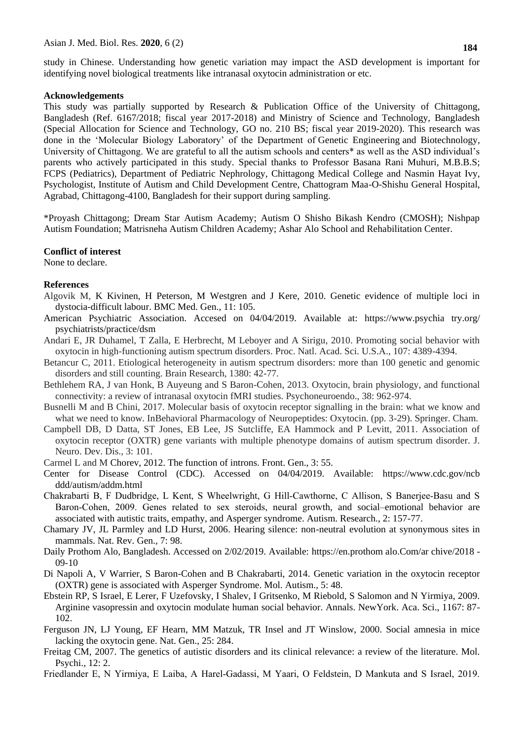study in Chinese. Understanding how genetic variation may impact the ASD development is important for identifying novel biological treatments like intranasal oxytocin administration or etc.

#### **Acknowledgements**

This study was partially supported by Research & Publication Office of the University of Chittagong, Bangladesh (Ref. 6167/2018; fiscal year 2017-2018) and Ministry of Science and Technology, Bangladesh (Special Allocation for Science and Technology, GO no. 210 BS; fiscal year 2019-2020). This research was done in the 'Molecular Biology Laboratory' of the Department of Genetic Engineering and Biotechnology, University of Chittagong. We are grateful to all the autism schools and centers\* as well as the ASD individual's parents who actively participated in this study. Special thanks to Professor Basana Rani Muhuri, M.B.B.S; FCPS (Pediatrics), Department of Pediatric Nephrology, Chittagong Medical College and Nasmin Hayat Ivy, Psychologist, Institute of Autism and Child Development Centre, Chattogram Maa-O-Shishu General Hospital, Agrabad, Chittagong-4100, Bangladesh for their support during sampling.

\*Proyash Chittagong; Dream Star Autism Academy; Autism O Shisho Bikash Kendro (CMOSH); Nishpap Autism Foundation; Matrisneha Autism Children Academy; Ashar Alo School and Rehabilitation Center.

#### **Conflict of interest**

None to declare.

#### **References**

- Algovik M, K Kivinen, H Peterson, M Westgren and J Kere, 2010. Genetic evidence of multiple loci in dystocia-difficult labour. BMC Med. Gen., 11: 105.
- American Psychiatric Association. Accesed on 04/04/2019. Available at: https://www.psychia try.org/ psychiatrists/practice/dsm
- Andari E, JR Duhamel, T Zalla, E Herbrecht, M Leboyer and A Sirigu, 2010. Promoting social behavior with oxytocin in high-functioning autism spectrum disorders. Proc. Natl. Acad. Sci. U.S.A., 107: 4389-4394.
- Betancur C, 2011. Etiological heterogeneity in autism spectrum disorders: more than 100 genetic and genomic disorders and still counting. Brain Research, 1380: 42-77.
- Bethlehem RA, J van Honk, B Auyeung and S Baron-Cohen, 2013. Oxytocin, brain physiology, and functional connectivity: a review of intranasal oxytocin fMRI studies. Psychoneuroendo., 38: 962-974.
- Busnelli M and B Chini, 2017. Molecular basis of oxytocin receptor signalling in the brain: what we know and what we need to know. InBehavioral Pharmacology of Neuropeptides: Oxytocin. (pp. 3-29). Springer. Cham.
- Campbell DB, D Datta, ST Jones, EB Lee, JS Sutcliffe, EA Hammock and P Levitt, 2011. Association of oxytocin receptor (OXTR) gene variants with multiple phenotype domains of autism spectrum disorder. J. Neuro. Dev. Dis., 3: 101.
- Carmel L and M Chorev, 2012. The function of introns. Front. Gen., 3: 55.
- Center for Disease Control (CDC). Accessed on 04/04/2019. Available: [https://www.cdc.gov/ncb](https://www.cdc.gov/ncb%20ddd/autism/addm.html)  [ddd/autism/addm.html](https://www.cdc.gov/ncb%20ddd/autism/addm.html)
- Chakrabarti B, F Dudbridge, L Kent, S Wheelwright, G Hill‐Cawthorne, C Allison, S Banerjee‐Basu and S Baron‐Cohen, 2009. Genes related to sex steroids, neural growth, and social–emotional behavior are associated with autistic traits, empathy, and Asperger syndrome. Autism. Research., 2: 157-77.
- Chamary JV, JL Parmley and LD Hurst, 2006. Hearing silence: non-neutral evolution at synonymous sites in mammals. Nat. Rev. Gen., 7: 98.
- Daily Prothom Alo, Bangladesh. Accessed on 2/02/2019. Available: https://en.prothom alo.Com/ar chive/2018 09-10
- Di Napoli A, V Warrier, S Baron-Cohen and B Chakrabarti, 2014. Genetic variation in the oxytocin receptor (OXTR) gene is associated with Asperger Syndrome. Mol. Autism., 5: 48.
- Ebstein RP, S Israel, E Lerer, F Uzefovsky, I Shalev, I Gritsenko, M Riebold, S Salomon and N Yirmiya, 2009. Arginine vasopressin and oxytocin modulate human social behavior. Annals. NewYork. Aca. Sci., 1167: 87- 102.
- Ferguson JN, LJ Young, EF Hearn, MM Matzuk, TR Insel and JT Winslow, 2000. Social amnesia in mice lacking the oxytocin gene. Nat. Gen., 25: 284.
- Freitag CM, 2007. The genetics of autistic disorders and its clinical relevance: a review of the literature. Mol. Psychi., 12: 2.
- Friedlander E, N Yirmiya, E Laiba, A Harel‐Gadassi, M Yaari, O Feldstein, D Mankuta and S Israel, 2019.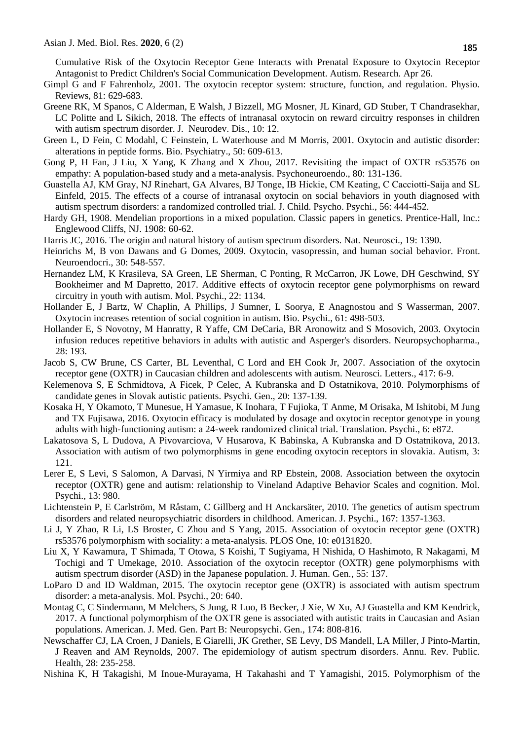Cumulative Risk of the Oxytocin Receptor Gene Interacts with Prenatal Exposure to Oxytocin Receptor Antagonist to Predict Children's Social Communication Development. Autism. Research. Apr 26.

- Gimpl G and F Fahrenholz, 2001. The oxytocin receptor system: structure, function, and regulation. Physio. Reviews, 81: 629-683.
- Greene RK, M Spanos, C Alderman, E Walsh, J Bizzell, MG Mosner, JL Kinard, GD Stuber, T Chandrasekhar, LC Politte and L Sikich, 2018. The effects of intranasal oxytocin on reward circuitry responses in children with autism spectrum disorder. J. Neurodev. Dis., 10: 12.
- Green L, D Fein, C Modahl, C Feinstein, L Waterhouse and M Morris, 2001. Oxytocin and autistic disorder: alterations in peptide forms. Bio. Psychiatry., 50: 609-613.
- Gong P, H Fan, J Liu, X Yang, K Zhang and X Zhou, 2017. Revisiting the impact of OXTR rs53576 on empathy: A population-based study and a meta-analysis. Psychoneuroendo., 80: 131-136.
- Guastella AJ, KM Gray, NJ Rinehart, GA Alvares, BJ Tonge, IB Hickie, CM Keating, C Cacciotti‐Saija and SL Einfeld, 2015. The effects of a course of intranasal oxytocin on social behaviors in youth diagnosed with autism spectrum disorders: a randomized controlled trial. J. Child. Psycho. Psychi., 56: 444-452.
- Hardy GH, 1908. Mendelian proportions in a mixed population. Classic papers in genetics. Prentice-Hall, Inc.: Englewood Cliffs, NJ. 1908: 60-62.
- Harris JC, 2016. The origin and natural history of autism spectrum disorders. Nat. Neurosci., 19: 1390.
- Heinrichs M, B von Dawans and G Domes, 2009. Oxytocin, vasopressin, and human social behavior. Front. Neuroendocri., 30: 548-557.
- Hernandez LM, K Krasileva, SA Green, LE Sherman, C Ponting, R McCarron, JK Lowe, DH Geschwind, SY Bookheimer and M Dapretto, 2017. Additive effects of oxytocin receptor gene polymorphisms on reward circuitry in youth with autism. Mol. Psychi., 22: 1134.
- Hollander E, J Bartz, W Chaplin, A Phillips, J Sumner, L Soorya, E Anagnostou and S Wasserman, 2007. Oxytocin increases retention of social cognition in autism. Bio. Psychi., 61: 498-503.
- Hollander E, S Novotny, M Hanratty, R Yaffe, CM DeCaria, BR Aronowitz and S Mosovich, 2003. Oxytocin infusion reduces repetitive behaviors in adults with autistic and Asperger's disorders. Neuropsychopharma., 28: 193.
- Jacob S, CW Brune, CS Carter, BL Leventhal, C Lord and EH Cook Jr, 2007. Association of the oxytocin receptor gene (OXTR) in Caucasian children and adolescents with autism. Neurosci. Letters., 417: 6-9.
- Kelemenova S, E Schmidtova, A Ficek, P Celec, A Kubranska and D Ostatnikova, 2010. Polymorphisms of candidate genes in Slovak autistic patients. Psychi. Gen., 20: 137-139.
- Kosaka H, Y Okamoto, T Munesue, H Yamasue, K Inohara, T Fujioka, T Anme, M Orisaka, M Ishitobi, M Jung and TX Fujisawa, 2016. Oxytocin efficacy is modulated by dosage and oxytocin receptor genotype in young adults with high-functioning autism: a 24-week randomized clinical trial. Translation. Psychi., 6: e872.
- Lakatosova S, L Dudova, A Pivovarciova, V Husarova, K Babinska, A Kubranska and D Ostatnikova, 2013. Association with autism of two polymorphisms in gene encoding oxytocin receptors in slovakia. Autism, 3: 121.
- Lerer E, S Levi, S Salomon, A Darvasi, N Yirmiya and RP Ebstein, 2008. Association between the oxytocin receptor (OXTR) gene and autism: relationship to Vineland Adaptive Behavior Scales and cognition. Mol. Psychi., 13: 980.
- Lichtenstein P, E Carlström, M Råstam, C Gillberg and H Anckarsäter, 2010. The genetics of autism spectrum disorders and related neuropsychiatric disorders in childhood. American. J. Psychi., 167: 1357-1363.
- Li J, Y Zhao, R Li, LS Broster, C Zhou and S Yang, 2015. Association of oxytocin receptor gene (OXTR) rs53576 polymorphism with sociality: a meta-analysis. PLOS One, 10: e0131820.
- Liu X, Y Kawamura, T Shimada, T Otowa, S Koishi, T Sugiyama, H Nishida, O Hashimoto, R Nakagami, M Tochigi and T Umekage, 2010. Association of the oxytocin receptor (OXTR) gene polymorphisms with autism spectrum disorder (ASD) in the Japanese population. J. Human. Gen., 55: 137.
- LoParo D and ID Waldman, 2015. The oxytocin receptor gene (OXTR) is associated with autism spectrum disorder: a meta-analysis. Mol. Psychi., 20: 640.
- Montag C, C Sindermann, M Melchers, S Jung, R Luo, B Becker, J Xie, W Xu, AJ Guastella and KM Kendrick, 2017. A functional polymorphism of the OXTR gene is associated with autistic traits in Caucasian and Asian populations. American. J. Med. Gen. Part B: Neuropsychi. Gen., 174: 808-816.
- Newschaffer CJ, LA Croen, J Daniels, E Giarelli, JK Grether, SE Levy, DS Mandell, LA Miller, J Pinto-Martin, J Reaven and AM Reynolds, 2007. The epidemiology of autism spectrum disorders. Annu. Rev. Public. Health, 28: 235-258.
- Nishina K, H Takagishi, M Inoue-Murayama, H Takahashi and T Yamagishi, 2015. Polymorphism of the